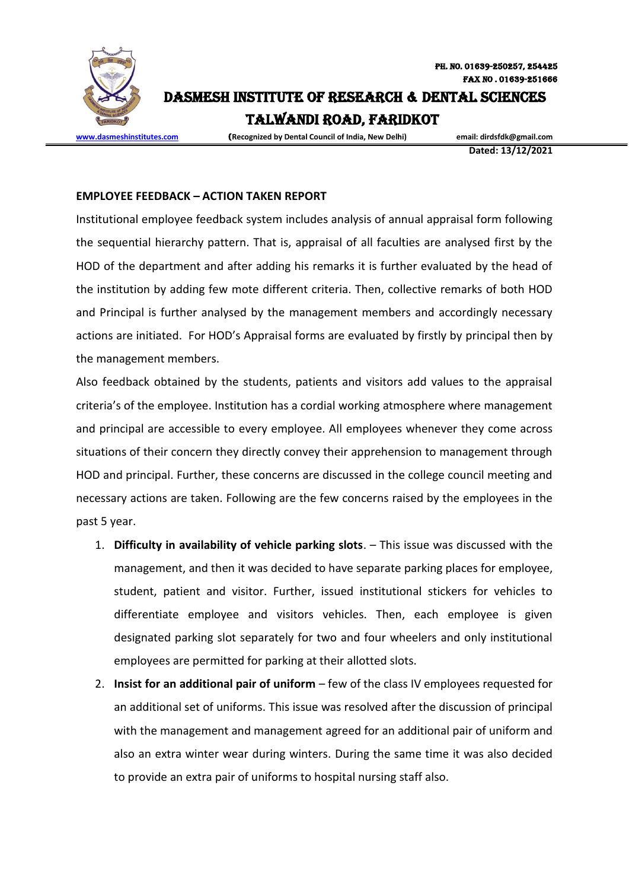

DASMESH INSTITUTE OF RESEARCH & DENTAL SCIENCES

Talwandi Road, FARIDKOT

**[www.dasmeshinstitutes.com](http://www.dasmeshinstitutes.com/)** (**Recognized by Dental Council of India, New Delhi) email: dirdsfdk@gmail.com**

**Dated: 13/12/2021**

## **EMPLOYEE FEEDBACK – ACTION TAKEN REPORT**

Institutional employee feedback system includes analysis of annual appraisal form following the sequential hierarchy pattern. That is, appraisal of all faculties are analysed first by the HOD of the department and after adding his remarks it is further evaluated by the head of the institution by adding few mote different criteria. Then, collective remarks of both HOD and Principal is further analysed by the management members and accordingly necessary actions are initiated. For HOD's Appraisal forms are evaluated by firstly by principal then by the management members.

Also feedback obtained by the students, patients and visitors add values to the appraisal criteria's of the employee. Institution has a cordial working atmosphere where management and principal are accessible to every employee. All employees whenever they come across situations of their concern they directly convey their apprehension to management through HOD and principal. Further, these concerns are discussed in the college council meeting and necessary actions are taken. Following are the few concerns raised by the employees in the past 5 year.

- 1. **Difficulty in availability of vehicle parking slots**. This issue was discussed with the management, and then it was decided to have separate parking places for employee, student, patient and visitor. Further, issued institutional stickers for vehicles to differentiate employee and visitors vehicles. Then, each employee is given designated parking slot separately for two and four wheelers and only institutional employees are permitted for parking at their allotted slots.
- 2. **Insist for an additional pair of uniform**  few of the class IV employees requested for an additional set of uniforms. This issue was resolved after the discussion of principal with the management and management agreed for an additional pair of uniform and also an extra winter wear during winters. During the same time it was also decided to provide an extra pair of uniforms to hospital nursing staff also.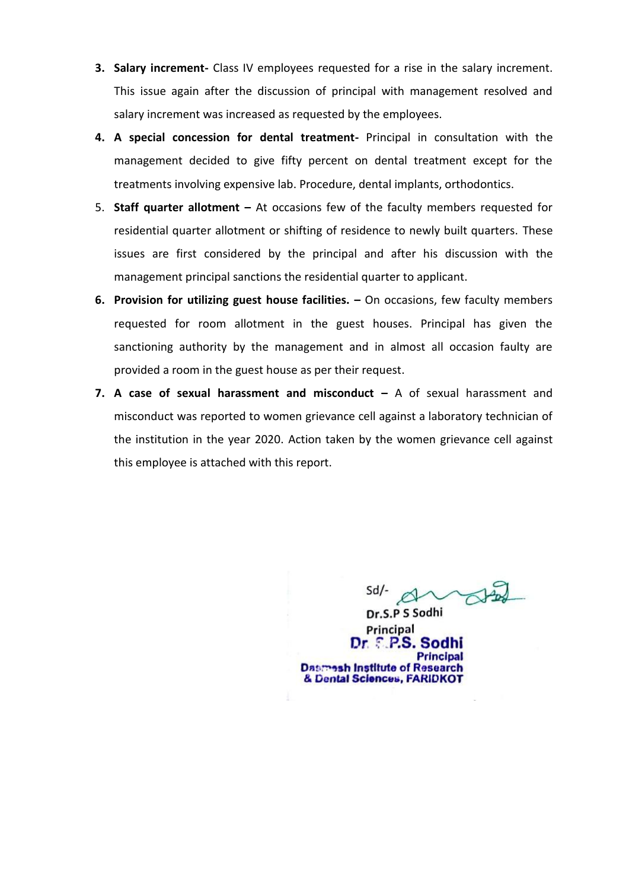- **3. Salary increment-** Class IV employees requested for a rise in the salary increment. This issue again after the discussion of principal with management resolved and salary increment was increased as requested by the employees.
- **4. A special concession for dental treatment-** Principal in consultation with the management decided to give fifty percent on dental treatment except for the treatments involving expensive lab. Procedure, dental implants, orthodontics.
- 5. **Staff quarter allotment –** At occasions few of the faculty members requested for residential quarter allotment or shifting of residence to newly built quarters. These issues are first considered by the principal and after his discussion with the management principal sanctions the residential quarter to applicant.
- **6. Provision for utilizing guest house facilities. –** On occasions, few faculty members requested for room allotment in the guest houses. Principal has given the sanctioning authority by the management and in almost all occasion faulty are provided a room in the guest house as per their request.
- **7. A case of sexual harassment and misconduct –** A of sexual harassment and misconduct was reported to women grievance cell against a laboratory technician of the institution in the year 2020. Action taken by the women grievance cell against this employee is attached with this report.

Dr.S.P S Sodhi Principal  $Dr. E. PS. So$ **Dasmesh Institute of Research** & Dental Sciences, FARIDKOT